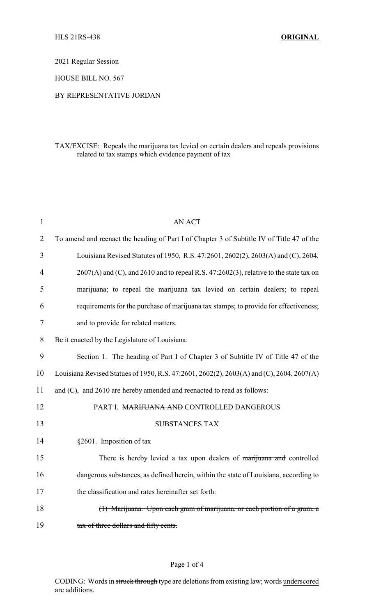2021 Regular Session

HOUSE BILL NO. 567

### BY REPRESENTATIVE JORDAN

# TAX/EXCISE: Repeals the marijuana tax levied on certain dealers and repeals provisions related to tax stamps which evidence payment of tax

| $\mathbf{1}$   | <b>AN ACT</b>                                                                                |
|----------------|----------------------------------------------------------------------------------------------|
| $\overline{2}$ | To amend and reenact the heading of Part I of Chapter 3 of Subtitle IV of Title 47 of the    |
| 3              | Louisiana Revised Statutes of 1950, R.S. 47:2601, 2602(2), 2603(A) and (C), 2604,            |
| 4              | $2607(A)$ and (C), and $2610$ and to repeal R.S. $47:2602(3)$ , relative to the state tax on |
| 5              | marijuana; to repeal the marijuana tax levied on certain dealers; to repeal                  |
| 6              | requirements for the purchase of marijuana tax stamps; to provide for effectiveness;         |
| 7              | and to provide for related matters.                                                          |
| 8              | Be it enacted by the Legislature of Louisiana:                                               |
| 9              | Section 1. The heading of Part I of Chapter 3 of Subtitle IV of Title 47 of the              |
| 10             | Louisiana Revised Statues of 1950, R.S. 47:2601, 2602(2), 2603(A) and (C), 2604, 2607(A)     |
| 11             | and (C), and 2610 are hereby amended and reenacted to read as follows:                       |
| 12             | PART I. MARIJUANA AND CONTROLLED DANGEROUS                                                   |
| 13             | <b>SUBSTANCES TAX</b>                                                                        |
| 14             | §2601. Imposition of tax                                                                     |
| 15             | There is hereby levied a tax upon dealers of marijuana and controlled                        |
| 16             | dangerous substances, as defined herein, within the state of Louisiana, according to         |
| 17             | the classification and rates hereinafter set forth:                                          |
| 18             | (1) Marijuana. Upon each gram of marijuana, or each portion of a gram, a                     |
| 19             | tax of three dollars and fifty cents.                                                        |

## Page 1 of 4

CODING: Words in struck through type are deletions from existing law; words underscored are additions.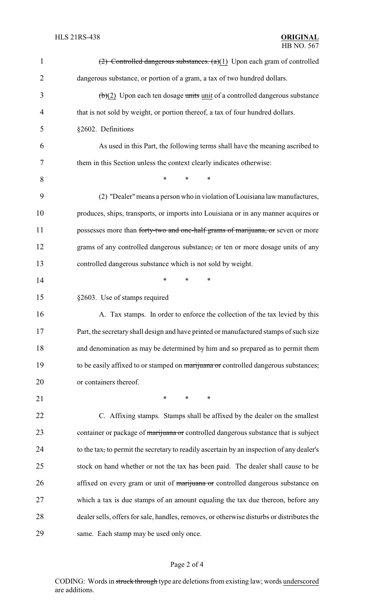| $\mathbf{1}$   | (2) Controlled dangerous substances. $(a)(1)$ Upon each gram of controlled                |
|----------------|-------------------------------------------------------------------------------------------|
| $\overline{2}$ | dangerous substance, or portion of a gram, a tax of two hundred dollars.                  |
| 3              | $(b)(2)$ Upon each ten dosage units unit of a controlled dangerous substance              |
| 4              | that is not sold by weight, or portion thereof, a tax of four hundred dollars.            |
| 5              | §2602. Definitions                                                                        |
| 6              | As used in this Part, the following terms shall have the meaning ascribed to              |
| 7              | them in this Section unless the context clearly indicates otherwise:                      |
| 8              | $\ast$<br>*<br>*                                                                          |
| 9              | (2) "Dealer" means a person who in violation of Louisiana law manufactures,               |
| 10             | produces, ships, transports, or imports into Louisiana or in any manner acquires or       |
| 11             | possesses more than forty-two and one-half grams of marijuana, or seven or more           |
| 12             | grams of any controlled dangerous substance, or ten or more dosage units of any           |
| 13             | controlled dangerous substance which is not sold by weight.                               |
| 14             | $\ast$<br>*<br>*                                                                          |
| 15             | §2603. Use of stamps required                                                             |
| 16             | A. Tax stamps. In order to enforce the collection of the tax levied by this               |
| 17             | Part, the secretary shall design and have printed or manufactured stamps of such size     |
| 18             | and denomination as may be determined by him and so prepared as to permit them            |
| 19             | to be easily affixed to or stamped on marijuana or controlled dangerous substances,       |
| 20             | or containers thereof.                                                                    |
| 21             | $\ast$<br>$\ast$<br>$\ast$                                                                |
| 22             | C. Affixing stamps. Stamps shall be affixed by the dealer on the smallest                 |
| 23             | container or package of marijuana or controlled dangerous substance that is subject       |
| 24             | to the tax, to permit the secretary to readily ascertain by an inspection of any dealer's |
| 25             | stock on hand whether or not the tax has been paid. The dealer shall cause to be          |
| 26             | affixed on every gram or unit of marijuana or controlled dangerous substance on           |
| 27             | which a tax is due stamps of an amount equaling the tax due thereon, before any           |
| 28             | dealer sells, offers for sale, handles, removes, or otherwise disturbs or distributes the |
| 29             | same. Each stamp may be used only once.                                                   |

# Page 2 of 4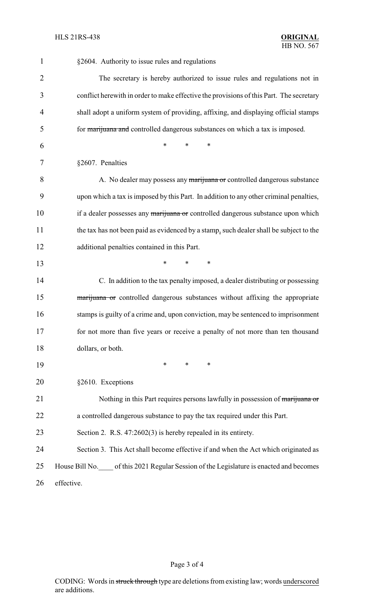| $\mathbf{1}$   | §2604. Authority to issue rules and regulations                                         |
|----------------|-----------------------------------------------------------------------------------------|
| $\overline{2}$ | The secretary is hereby authorized to issue rules and regulations not in                |
| 3              | conflict herewith in order to make effective the provisions of this Part. The secretary |
| 4              | shall adopt a uniform system of providing, affixing, and displaying official stamps     |
| 5              | for marijuana and controlled dangerous substances on which a tax is imposed.            |
| 6              | *<br>*<br>*                                                                             |
| 7              | §2607. Penalties                                                                        |
| 8              | A. No dealer may possess any marijuana or controlled dangerous substance                |
| 9              | upon which a tax is imposed by this Part. In addition to any other criminal penalties,  |
| 10             | if a dealer possesses any marijuana or controlled dangerous substance upon which        |
| 11             | the tax has not been paid as evidenced by a stamp, such dealer shall be subject to the  |
| 12             | additional penalties contained in this Part.                                            |
| 13             | *<br>$\ast$<br>$\ast$                                                                   |
| 14             | C. In addition to the tax penalty imposed, a dealer distributing or possessing          |
| 15             | marijuana or controlled dangerous substances without affixing the appropriate           |
| 16             | stamps is guilty of a crime and, upon conviction, may be sentenced to imprisonment      |
| 17             | for not more than five years or receive a penalty of not more than ten thousand         |
| 18             | dollars, or both.                                                                       |
| 19             | $\ast$<br>$\ast$<br>*                                                                   |
| 20             | §2610. Exceptions                                                                       |
| 21             | Nothing in this Part requires persons lawfully in possession of marijuana or            |
| 22             | a controlled dangerous substance to pay the tax required under this Part.               |
| 23             | Section 2. R.S. $47:2602(3)$ is hereby repealed in its entirety.                        |
| 24             | Section 3. This Act shall become effective if and when the Act which originated as      |
| 25             | House Bill No. of this 2021 Regular Session of the Legislature is enacted and becomes   |
| 26             | effective.                                                                              |